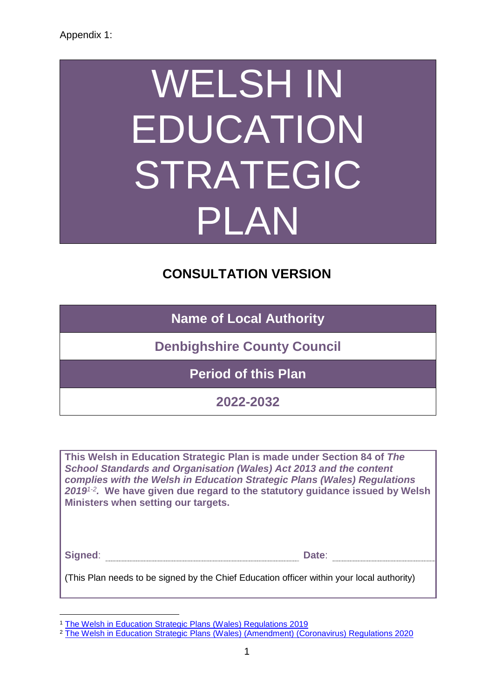# WELSH IN EDUCATION STRATEGIC PLAN

# **CONSULTATION VERSION**

**Name of Local Authority**

**Denbighshire County Council**

**Period of this Plan**

**2022-2032**

**This Welsh in Education Strategic Plan is made under Section 84 of** *The School Standards and Organisation (Wales) Act 2013 and the content complies with the Welsh in Education Strategic Plans (Wales) Regulations 20191-2 .* **We have given due regard to the statutory guidance issued by Welsh Ministers when setting our targets.** 

| Signed: |  |
|---------|--|
|         |  |

(This Plan needs to be signed by the Chief Education officer within your local authority)

1

<sup>1</sup> [The Welsh in Education Strategic Plans \(Wales\) Regulations 2019](https://www.legislation.gov.uk/wsi/2019/1489/regulation/4/made)

<sup>&</sup>lt;sup>2</sup> [The Welsh in Education Strategic Plans \(Wales\) \(Amendment\) \(Coronavirus\) Regulations 2020](https://www.legislation.gov.uk/wsi/2020/1194/contents/made)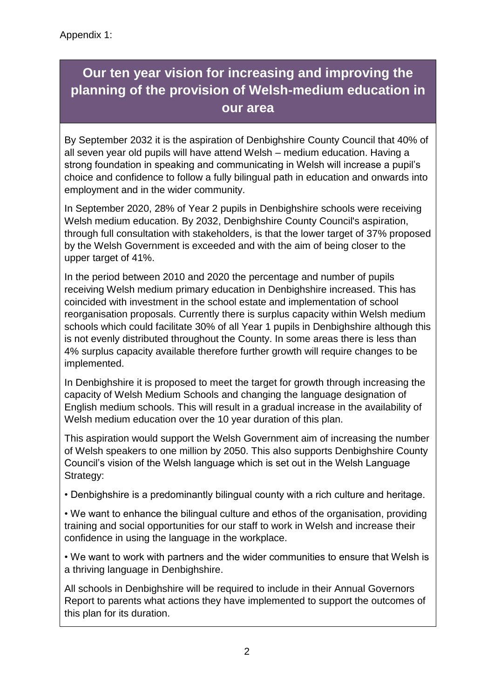# **Our ten year vision for increasing and improving the planning of the provision of Welsh-medium education in our area**

By September 2032 it is the aspiration of Denbighshire County Council that 40% of all seven year old pupils will have attend Welsh – medium education. Having a strong foundation in speaking and communicating in Welsh will increase a pupil's choice and confidence to follow a fully bilingual path in education and onwards into employment and in the wider community.

In September 2020, 28% of Year 2 pupils in Denbighshire schools were receiving Welsh medium education. By 2032, Denbighshire County Council's aspiration, through full consultation with stakeholders, is that the lower target of 37% proposed by the Welsh Government is exceeded and with the aim of being closer to the upper target of 41%.

In the period between 2010 and 2020 the percentage and number of pupils receiving Welsh medium primary education in Denbighshire increased. This has coincided with investment in the school estate and implementation of school reorganisation proposals. Currently there is surplus capacity within Welsh medium schools which could facilitate 30% of all Year 1 pupils in Denbighshire although this is not evenly distributed throughout the County. In some areas there is less than 4% surplus capacity available therefore further growth will require changes to be implemented.

In Denbighshire it is proposed to meet the target for growth through increasing the capacity of Welsh Medium Schools and changing the language designation of English medium schools. This will result in a gradual increase in the availability of Welsh medium education over the 10 year duration of this plan.

This aspiration would support the Welsh Government aim of increasing the number of Welsh speakers to one million by 2050. This also supports Denbighshire County Council's vision of the Welsh language which is set out in the Welsh Language Strategy:

• Denbighshire is a predominantly bilingual county with a rich culture and heritage.

• We want to enhance the bilingual culture and ethos of the organisation, providing training and social opportunities for our staff to work in Welsh and increase their confidence in using the language in the workplace.

• We want to work with partners and the wider communities to ensure that Welsh is a thriving language in Denbighshire.

All schools in Denbighshire will be required to include in their Annual Governors Report to parents what actions they have implemented to support the outcomes of this plan for its duration.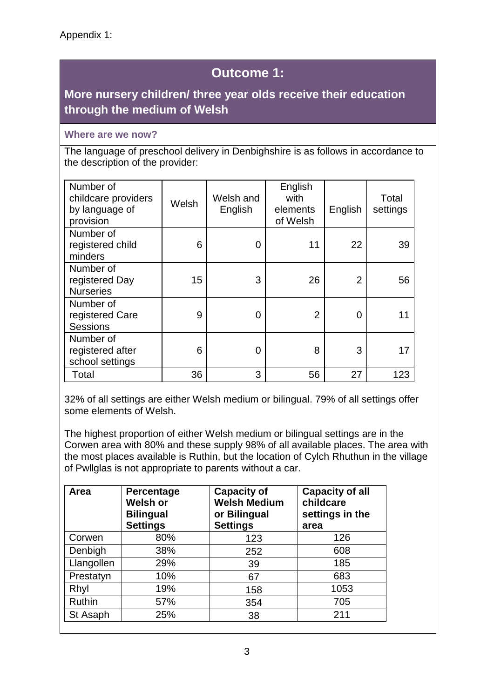# **Outcome 1:**

## **More nursery children/ three year olds receive their education through the medium of Welsh**

## **Where are we now?**

The language of preschool delivery in Denbighshire is as follows in accordance to the description of the provider:

| Number of<br>childcare providers<br>by language of<br>provision | Welsh | Welsh and<br>English | English<br>with<br>elements<br>of Welsh | English        | Total<br>settings |
|-----------------------------------------------------------------|-------|----------------------|-----------------------------------------|----------------|-------------------|
| Number of<br>registered child<br>minders                        | 6     | 0                    | 11                                      | 22             | 39                |
| Number of<br>registered Day<br><b>Nurseries</b>                 | 15    | 3                    | 26                                      | $\overline{2}$ | 56                |
| Number of<br>registered Care<br><b>Sessions</b>                 | 9     | 0                    | $\overline{2}$                          | 0              | 11                |
| Number of<br>registered after<br>school settings                | 6     | 0                    | 8                                       | 3              | 17                |
| Total                                                           | 36    | 3                    | 56                                      | 27             | 123               |

32% of all settings are either Welsh medium or bilingual. 79% of all settings offer some elements of Welsh.

The highest proportion of either Welsh medium or bilingual settings are in the Corwen area with 80% and these supply 98% of all available places. The area with the most places available is Ruthin, but the location of Cylch Rhuthun in the village of Pwllglas is not appropriate to parents without a car.

| Area          | Percentage<br><b>Welsh or</b><br><b>Bilingual</b><br><b>Settings</b> | <b>Capacity of</b><br><b>Welsh Medium</b><br>or Bilingual<br><b>Settings</b> | <b>Capacity of all</b><br>childcare<br>settings in the<br>area |
|---------------|----------------------------------------------------------------------|------------------------------------------------------------------------------|----------------------------------------------------------------|
| Corwen        | 80%                                                                  | 123                                                                          | 126                                                            |
| Denbigh       | 38%                                                                  | 252                                                                          | 608                                                            |
| Llangollen    | 29%                                                                  | 39                                                                           | 185                                                            |
| Prestatyn     | 10%                                                                  | 67                                                                           | 683                                                            |
| Rhyl          | 19%                                                                  | 158                                                                          | 1053                                                           |
| <b>Ruthin</b> | 57%                                                                  | 354                                                                          | 705                                                            |
| St Asaph      | 25%                                                                  | 38                                                                           | 211                                                            |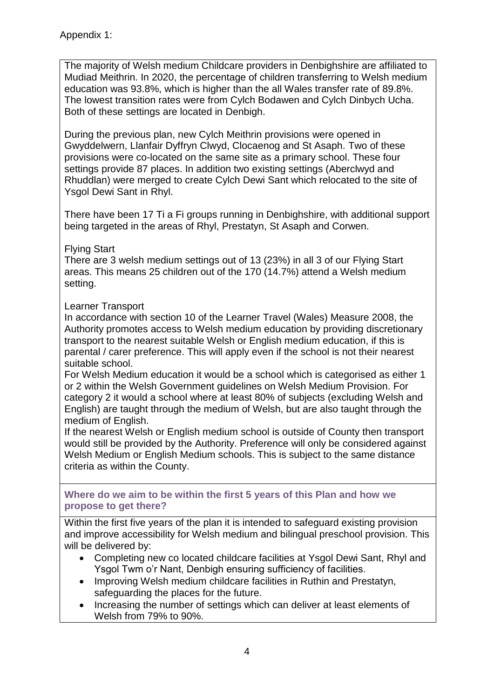The majority of Welsh medium Childcare providers in Denbighshire are affiliated to Mudiad Meithrin. In 2020, the percentage of children transferring to Welsh medium education was 93.8%, which is higher than the all Wales transfer rate of 89.8%. The lowest transition rates were from Cylch Bodawen and Cylch Dinbych Ucha. Both of these settings are located in Denbigh.

During the previous plan, new Cylch Meithrin provisions were opened in Gwyddelwern, Llanfair Dyffryn Clwyd, Clocaenog and St Asaph. Two of these provisions were co-located on the same site as a primary school. These four settings provide 87 places. In addition two existing settings (Aberclwyd and Rhuddlan) were merged to create Cylch Dewi Sant which relocated to the site of Ysgol Dewi Sant in Rhyl.

There have been 17 Ti a Fi groups running in Denbighshire, with additional support being targeted in the areas of Rhyl, Prestatyn, St Asaph and Corwen.

## Flying Start

There are 3 welsh medium settings out of 13 (23%) in all 3 of our Flying Start areas. This means 25 children out of the 170 (14.7%) attend a Welsh medium setting.

## Learner Transport

In accordance with section 10 of the Learner Travel (Wales) Measure 2008, the Authority promotes access to Welsh medium education by providing discretionary transport to the nearest suitable Welsh or English medium education, if this is parental / carer preference. This will apply even if the school is not their nearest suitable school.

For Welsh Medium education it would be a school which is categorised as either 1 or 2 within the Welsh Government guidelines on Welsh Medium Provision. For category 2 it would a school where at least 80% of subjects (excluding Welsh and English) are taught through the medium of Welsh, but are also taught through the medium of English.

If the nearest Welsh or English medium school is outside of County then transport would still be provided by the Authority. Preference will only be considered against Welsh Medium or English Medium schools. This is subject to the same distance criteria as within the County.

**Where do we aim to be within the first 5 years of this Plan and how we propose to get there?**

Within the first five years of the plan it is intended to safeguard existing provision and improve accessibility for Welsh medium and bilingual preschool provision. This will be delivered by:

- Completing new co located childcare facilities at Ysgol Dewi Sant, Rhyl and Ysgol Twm o'r Nant, Denbigh ensuring sufficiency of facilities.
- Improving Welsh medium childcare facilities in Ruthin and Prestatyn, safeguarding the places for the future.
- Increasing the number of settings which can deliver at least elements of Welsh from 79% to 90%.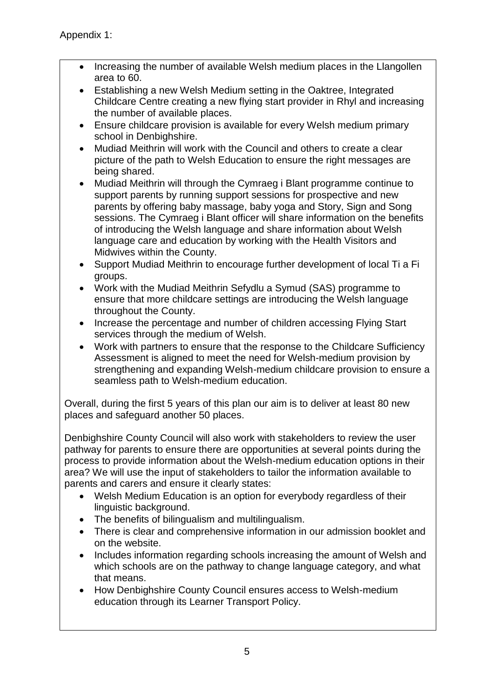- Increasing the number of available Welsh medium places in the Llangollen area to 60.
- Establishing a new Welsh Medium setting in the Oaktree, Integrated Childcare Centre creating a new flying start provider in Rhyl and increasing the number of available places.
- Ensure childcare provision is available for every Welsh medium primary school in Denbighshire.
- Mudiad Meithrin will work with the Council and others to create a clear picture of the path to Welsh Education to ensure the right messages are being shared.
- Mudiad Meithrin will through the Cymraeg i Blant programme continue to support parents by running support sessions for prospective and new parents by offering baby massage, baby yoga and Story, Sign and Song sessions. The Cymraeg i Blant officer will share information on the benefits of introducing the Welsh language and share information about Welsh language care and education by working with the Health Visitors and Midwives within the County.
- Support Mudiad Meithrin to encourage further development of local Ti a Fi groups.
- Work with the Mudiad Meithrin Sefydlu a Symud (SAS) programme to ensure that more childcare settings are introducing the Welsh language throughout the County.
- Increase the percentage and number of children accessing Flying Start services through the medium of Welsh.
- Work with partners to ensure that the response to the Childcare Sufficiency Assessment is aligned to meet the need for Welsh-medium provision by strengthening and expanding Welsh-medium childcare provision to ensure a seamless path to Welsh-medium education.

Overall, during the first 5 years of this plan our aim is to deliver at least 80 new places and safeguard another 50 places.

Denbighshire County Council will also work with stakeholders to review the user pathway for parents to ensure there are opportunities at several points during the process to provide information about the Welsh-medium education options in their area? We will use the input of stakeholders to tailor the information available to parents and carers and ensure it clearly states:

- Welsh Medium Education is an option for everybody regardless of their linguistic background.
- The benefits of bilingualism and multilingualism.
- There is clear and comprehensive information in our admission booklet and on the website.
- Includes information regarding schools increasing the amount of Welsh and which schools are on the pathway to change language category, and what that means.
- How Denbighshire County Council ensures access to Welsh-medium education through its Learner Transport Policy.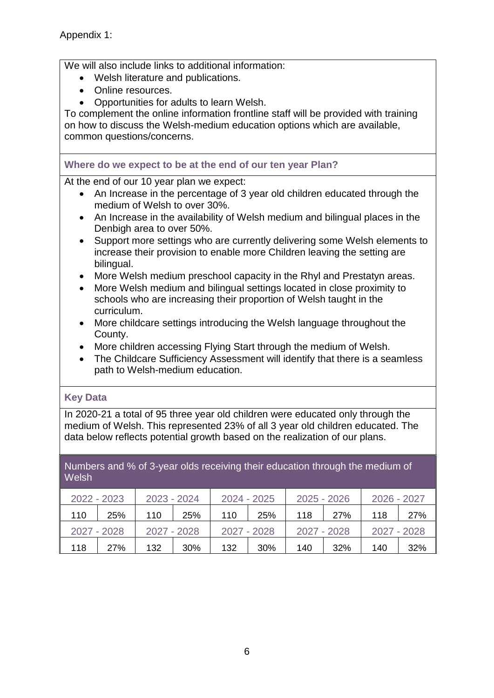We will also include links to additional information:

- Welsh literature and publications.
- Online resources.
- Opportunities for adults to learn Welsh.

To complement the online information frontline staff will be provided with training on how to discuss the Welsh-medium education options which are available, common questions/concerns.

## **Where do we expect to be at the end of our ten year Plan?**

At the end of our 10 year plan we expect:

- An Increase in the percentage of 3 year old children educated through the medium of Welsh to over 30%.
- An Increase in the availability of Welsh medium and bilingual places in the Denbigh area to over 50%.
- Support more settings who are currently delivering some Welsh elements to increase their provision to enable more Children leaving the setting are bilingual.
- More Welsh medium preschool capacity in the Rhyl and Prestatyn areas.
- More Welsh medium and bilingual settings located in close proximity to schools who are increasing their proportion of Welsh taught in the curriculum.
- More childcare settings introducing the Welsh language throughout the County.
- More children accessing Flying Start through the medium of Welsh.
- The Childcare Sufficiency Assessment will identify that there is a seamless path to Welsh-medium education.

## **Key Data**

In 2020-21 a total of 95 three year old children were educated only through the medium of Welsh. This represented 23% of all 3 year old children educated. The data below reflects potential growth based on the realization of our plans.

## Numbers and % of 3-year olds receiving their education through the medium of **Welsh**

| 2022 - 2023 |     | 2023 - 2024<br>2024 - 2025 |            | 2025 - 2026 |     | 2026 - 2027 |             |     |             |
|-------------|-----|----------------------------|------------|-------------|-----|-------------|-------------|-----|-------------|
| 110         | 25% | 110                        | <b>25%</b> | 110         | 25% | 118         | 27%         | 118 | 27%         |
| 2027 - 2028 |     | 2027 - 2028                |            | 2027 - 2028 |     |             | 2027 - 2028 |     | 2027 - 2028 |
| 118         | 27% | 132                        | <b>30%</b> | 132         | 30% | 140         | 32%         | 140 | 32%         |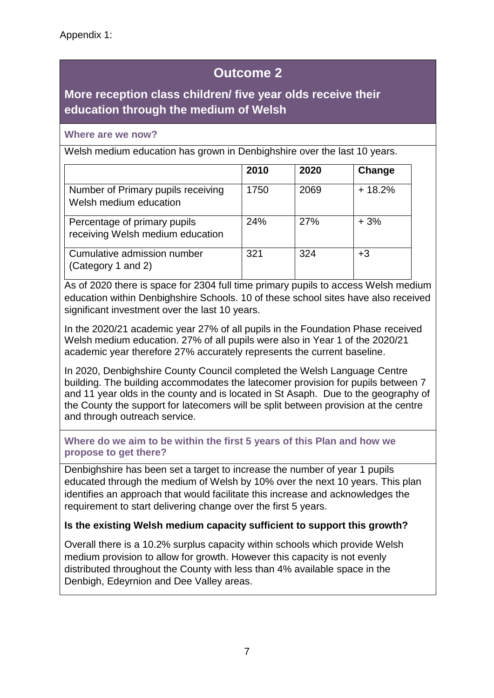## **More reception class children/ five year olds receive their education through the medium of Welsh**

## **Where are we now?**

Welsh medium education has grown in Denbighshire over the last 10 years.

|                                                                  | 2010 | 2020 | Change   |
|------------------------------------------------------------------|------|------|----------|
| Number of Primary pupils receiving<br>Welsh medium education     | 1750 | 2069 | $+18.2%$ |
| Percentage of primary pupils<br>receiving Welsh medium education | 24%  | 27%  | $+3%$    |
| Cumulative admission number<br>(Category 1 and 2)                | 321  | 324  | $+3$     |

As of 2020 there is space for 2304 full time primary pupils to access Welsh medium education within Denbighshire Schools. 10 of these school sites have also received significant investment over the last 10 years.

In the 2020/21 academic year 27% of all pupils in the Foundation Phase received Welsh medium education. 27% of all pupils were also in Year 1 of the 2020/21 academic year therefore 27% accurately represents the current baseline.

In 2020, Denbighshire County Council completed the Welsh Language Centre building. The building accommodates the latecomer provision for pupils between 7 and 11 year olds in the county and is located in St Asaph. Due to the geography of the County the support for latecomers will be split between provision at the centre and through outreach service.

## **Where do we aim to be within the first 5 years of this Plan and how we propose to get there?**

Denbighshire has been set a target to increase the number of year 1 pupils educated through the medium of Welsh by 10% over the next 10 years. This plan identifies an approach that would facilitate this increase and acknowledges the requirement to start delivering change over the first 5 years.

## **Is the existing Welsh medium capacity sufficient to support this growth?**

Overall there is a 10.2% surplus capacity within schools which provide Welsh medium provision to allow for growth. However this capacity is not evenly distributed throughout the County with less than 4% available space in the Denbigh, Edeyrnion and Dee Valley areas.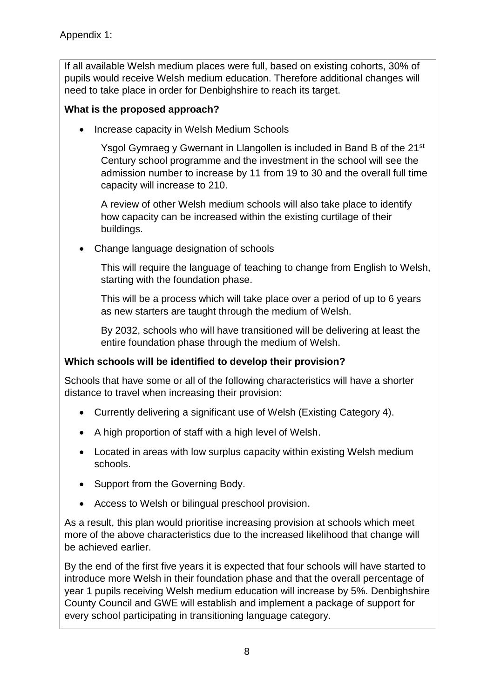If all available Welsh medium places were full, based on existing cohorts, 30% of pupils would receive Welsh medium education. Therefore additional changes will need to take place in order for Denbighshire to reach its target.

## **What is the proposed approach?**

• Increase capacity in Welsh Medium Schools

Ysgol Gymraeg y Gwernant in Llangollen is included in Band B of the 21<sup>st</sup> Century school programme and the investment in the school will see the admission number to increase by 11 from 19 to 30 and the overall full time capacity will increase to 210.

A review of other Welsh medium schools will also take place to identify how capacity can be increased within the existing curtilage of their buildings.

Change language designation of schools

This will require the language of teaching to change from English to Welsh, starting with the foundation phase.

This will be a process which will take place over a period of up to 6 years as new starters are taught through the medium of Welsh.

By 2032, schools who will have transitioned will be delivering at least the entire foundation phase through the medium of Welsh.

## **Which schools will be identified to develop their provision?**

Schools that have some or all of the following characteristics will have a shorter distance to travel when increasing their provision:

- Currently delivering a significant use of Welsh (Existing Category 4).
- A high proportion of staff with a high level of Welsh.
- Located in areas with low surplus capacity within existing Welsh medium schools.
- Support from the Governing Body.
- Access to Welsh or bilingual preschool provision.

As a result, this plan would prioritise increasing provision at schools which meet more of the above characteristics due to the increased likelihood that change will be achieved earlier.

By the end of the first five years it is expected that four schools will have started to introduce more Welsh in their foundation phase and that the overall percentage of year 1 pupils receiving Welsh medium education will increase by 5%. Denbighshire County Council and GWE will establish and implement a package of support for every school participating in transitioning language category.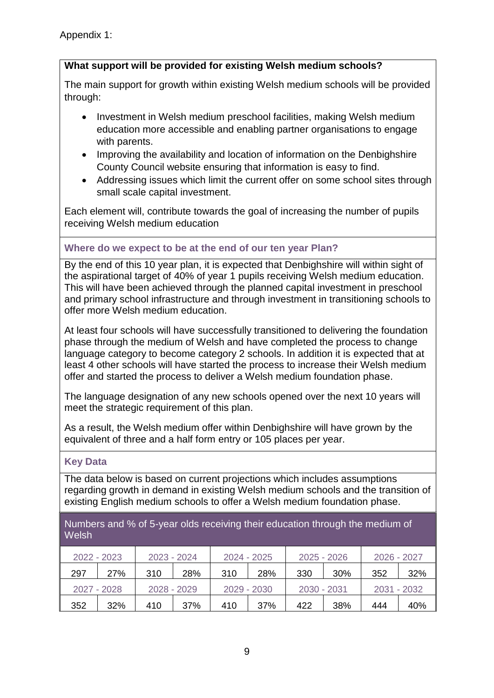## **What support will be provided for existing Welsh medium schools?**

The main support for growth within existing Welsh medium schools will be provided through:

- Investment in Welsh medium preschool facilities, making Welsh medium education more accessible and enabling partner organisations to engage with parents.
- Improving the availability and location of information on the Denbighshire County Council website ensuring that information is easy to find.
- Addressing issues which limit the current offer on some school sites through small scale capital investment.

Each element will, contribute towards the goal of increasing the number of pupils receiving Welsh medium education

## **Where do we expect to be at the end of our ten year Plan?**

By the end of this 10 year plan, it is expected that Denbighshire will within sight of the aspirational target of 40% of year 1 pupils receiving Welsh medium education. This will have been achieved through the planned capital investment in preschool and primary school infrastructure and through investment in transitioning schools to offer more Welsh medium education.

At least four schools will have successfully transitioned to delivering the foundation phase through the medium of Welsh and have completed the process to change language category to become category 2 schools. In addition it is expected that at least 4 other schools will have started the process to increase their Welsh medium offer and started the process to deliver a Welsh medium foundation phase.

The language designation of any new schools opened over the next 10 years will meet the strategic requirement of this plan.

As a result, the Welsh medium offer within Denbighshire will have grown by the equivalent of three and a half form entry or 105 places per year.

## **Key Data**

The data below is based on current projections which includes assumptions regarding growth in demand in existing Welsh medium schools and the transition of existing English medium schools to offer a Welsh medium foundation phase.

| Numbers and % of 5-year olds receiving their education through the medium of |  |
|------------------------------------------------------------------------------|--|
| Welsh                                                                        |  |

| 2022 - 2023 |     | 2023 - 2024 |             |     | 2024 - 2025 |             | $2025 - 2026$ |     | 2026 - 2027 |  |
|-------------|-----|-------------|-------------|-----|-------------|-------------|---------------|-----|-------------|--|
| 297         | 27% | 310         | 28%         | 310 | 28%         | 330         | 30%           | 352 | 32%         |  |
| 2027 - 2028 |     |             | 2028 - 2029 |     | 2029 - 2030 | 2030 - 2031 |               |     | 2031 - 2032 |  |
| 352         | 32% | 410         | 37%         | 410 | 37%         | 422         | 38%           | 444 | 40%         |  |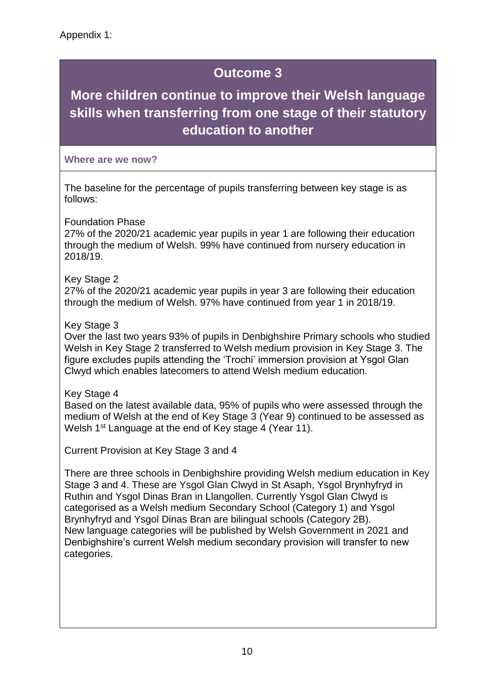# **More children continue to improve their Welsh language skills when transferring from one stage of their statutory education to another**

## **Where are we now?**

The baseline for the percentage of pupils transferring between key stage is as follows:

Foundation Phase

27% of the 2020/21 academic year pupils in year 1 are following their education through the medium of Welsh. 99% have continued from nursery education in 2018/19.

## Key Stage 2

27% of the 2020/21 academic year pupils in year 3 are following their education through the medium of Welsh. 97% have continued from year 1 in 2018/19.

## Key Stage 3

Over the last two years 93% of pupils in Denbighshire Primary schools who studied Welsh in Key Stage 2 transferred to Welsh medium provision in Key Stage 3. The figure excludes pupils attending the 'Trochi' immersion provision at Ysgol Glan Clwyd which enables latecomers to attend Welsh medium education.

Key Stage 4

Based on the latest available data, 95% of pupils who were assessed through the medium of Welsh at the end of Key Stage 3 (Year 9) continued to be assessed as Welsh 1<sup>st</sup> Language at the end of Key stage 4 (Year 11).

Current Provision at Key Stage 3 and 4

There are three schools in Denbighshire providing Welsh medium education in Key Stage 3 and 4. These are Ysgol Glan Clwyd in St Asaph, Ysgol Brynhyfryd in Ruthin and Ysgol Dinas Bran in Llangollen. Currently Ysgol Glan Clwyd is categorised as a Welsh medium Secondary School (Category 1) and Ysgol Brynhyfryd and Ysgol Dinas Bran are bilingual schools (Category 2B). New language categories will be published by Welsh Government in 2021 and Denbighshire's current Welsh medium secondary provision will transfer to new categories.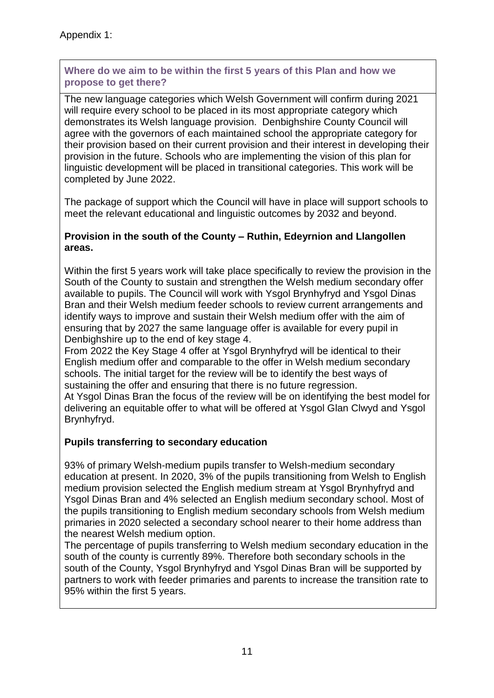**Where do we aim to be within the first 5 years of this Plan and how we propose to get there?**

The new language categories which Welsh Government will confirm during 2021 will require every school to be placed in its most appropriate category which demonstrates its Welsh language provision. Denbighshire County Council will agree with the governors of each maintained school the appropriate category for their provision based on their current provision and their interest in developing their provision in the future. Schools who are implementing the vision of this plan for linguistic development will be placed in transitional categories. This work will be completed by June 2022.

The package of support which the Council will have in place will support schools to meet the relevant educational and linguistic outcomes by 2032 and beyond.

## **Provision in the south of the County – Ruthin, Edeyrnion and Llangollen areas.**

Within the first 5 years work will take place specifically to review the provision in the South of the County to sustain and strengthen the Welsh medium secondary offer available to pupils. The Council will work with Ysgol Brynhyfryd and Ysgol Dinas Bran and their Welsh medium feeder schools to review current arrangements and identify ways to improve and sustain their Welsh medium offer with the aim of ensuring that by 2027 the same language offer is available for every pupil in Denbighshire up to the end of key stage 4.

From 2022 the Key Stage 4 offer at Ysgol Brynhyfryd will be identical to their English medium offer and comparable to the offer in Welsh medium secondary schools. The initial target for the review will be to identify the best ways of sustaining the offer and ensuring that there is no future regression.

At Ysgol Dinas Bran the focus of the review will be on identifying the best model for delivering an equitable offer to what will be offered at Ysgol Glan Clwyd and Ysgol Brynhyfryd.

## **Pupils transferring to secondary education**

93% of primary Welsh-medium pupils transfer to Welsh-medium secondary education at present. In 2020, 3% of the pupils transitioning from Welsh to English medium provision selected the English medium stream at Ysgol Brynhyfryd and Ysgol Dinas Bran and 4% selected an English medium secondary school. Most of the pupils transitioning to English medium secondary schools from Welsh medium primaries in 2020 selected a secondary school nearer to their home address than the nearest Welsh medium option.

The percentage of pupils transferring to Welsh medium secondary education in the south of the county is currently 89%. Therefore both secondary schools in the south of the County, Ysgol Brynhyfryd and Ysgol Dinas Bran will be supported by partners to work with feeder primaries and parents to increase the transition rate to 95% within the first 5 years.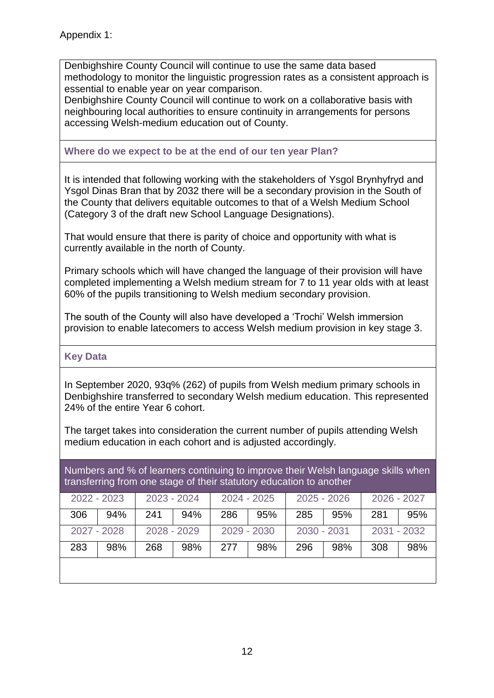Denbighshire County Council will continue to use the same data based methodology to monitor the linguistic progression rates as a consistent approach is essential to enable year on year comparison.

Denbighshire County Council will continue to work on a collaborative basis with neighbouring local authorities to ensure continuity in arrangements for persons accessing Welsh-medium education out of County.

## **Where do we expect to be at the end of our ten year Plan?**

It is intended that following working with the stakeholders of Ysgol Brynhyfryd and Ysgol Dinas Bran that by 2032 there will be a secondary provision in the South of the County that delivers equitable outcomes to that of a Welsh Medium School (Category 3 of the draft new School Language Designations).

That would ensure that there is parity of choice and opportunity with what is currently available in the north of County.

Primary schools which will have changed the language of their provision will have completed implementing a Welsh medium stream for 7 to 11 year olds with at least 60% of the pupils transitioning to Welsh medium secondary provision.

The south of the County will also have developed a 'Trochi' Welsh immersion provision to enable latecomers to access Welsh medium provision in key stage 3.

#### **Key Data**

In September 2020, 93q% (262) of pupils from Welsh medium primary schools in Denbighshire transferred to secondary Welsh medium education. This represented 24% of the entire Year 6 cohort.

The target takes into consideration the current number of pupils attending Welsh medium education in each cohort and is adjusted accordingly.

Numbers and % of learners continuing to improve their Welsh language skills when transferring from one stage of their statutory education to another

| 2022 - 2023 |                            | 2023 - 2024 |     | 2024 - 2025 |     | $2025 - 2026$ |     | 2026 - 2027 |     |
|-------------|----------------------------|-------------|-----|-------------|-----|---------------|-----|-------------|-----|
| 306         | 94%                        | 241         | 94% | 286         | 95% | 285           | 95% | 281         | 95% |
|             | 2028 - 2029<br>2027 - 2028 |             |     | 2029 - 2030 |     | 2030 - 2031   |     | 2031 - 2032 |     |
| 283         | 98%                        | 268         | 98% | 277         | 98% | 296           | 98% | 308         | 98% |
|             |                            |             |     |             |     |               |     |             |     |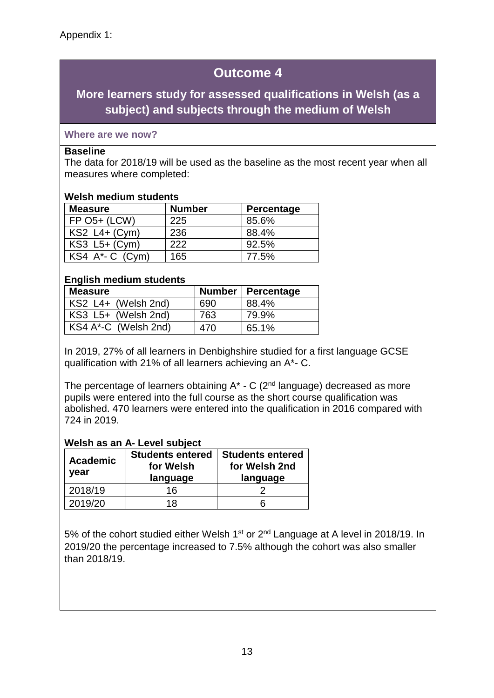## **More learners study for assessed qualifications in Welsh (as a subject) and subjects through the medium of Welsh**

## **Where are we now?**

#### **Baseline**

The data for 2018/19 will be used as the baseline as the most recent year when all measures where completed:

#### **Welsh medium students**

| <b>Measure</b>                           | <b>Number</b> | Percentage |
|------------------------------------------|---------------|------------|
| $FP$ O <sub>5+</sub> (LCW)               | 225           | 85.6%      |
| $KS2$ L4+ (Cym)                          | 236           | 88.4%      |
| $KS3$ L <sub>5+</sub> (C <sub>ym</sub> ) | 222           | 92.5%      |
| KS4 A <sup>*</sup> - C (Cym)             | 165           | 77.5%      |

## **English medium students**

| <b>Measure</b>       |     | Number   Percentage |
|----------------------|-----|---------------------|
| KS2 L4+ (Welsh 2nd)  | 690 | 88.4%               |
| KS3 L5+ (Welsh 2nd)  | 763 | 79.9%               |
| KS4 A*-C (Welsh 2nd) | 470 | 65.1%               |

In 2019, 27% of all learners in Denbighshire studied for a first language GCSE qualification with 21% of all learners achieving an A\*- C.

The percentage of learners obtaining  $A^*$  - C ( $2^{nd}$  language) decreased as more pupils were entered into the full course as the short course qualification was abolished. 470 learners were entered into the qualification in 2016 compared with 724 in 2019.

#### **Welsh as an A- Level subject**

| <b>Academic</b><br>year | <b>Students entered</b><br>for Welsh<br>language | <b>Students entered</b><br>for Welsh 2nd<br>language |
|-------------------------|--------------------------------------------------|------------------------------------------------------|
| 2018/19                 | 16                                               |                                                      |
| 2019/20                 | 18                                               |                                                      |

5% of the cohort studied either Welsh 1<sup>st</sup> or 2<sup>nd</sup> Language at A level in 2018/19. In 2019/20 the percentage increased to 7.5% although the cohort was also smaller than 2018/19.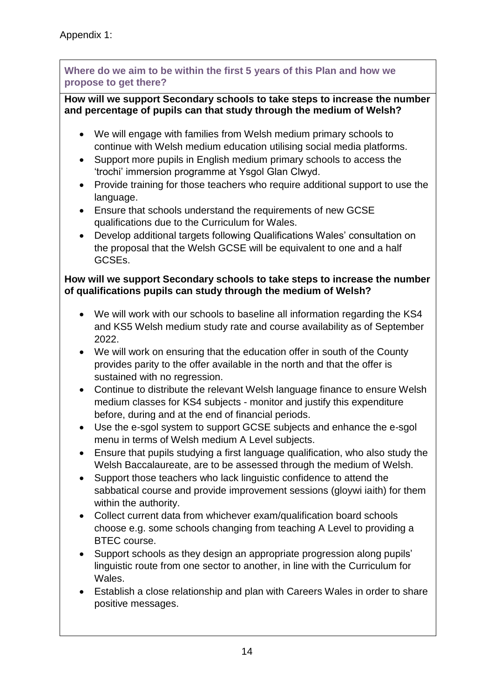**Where do we aim to be within the first 5 years of this Plan and how we propose to get there?**

## **How will we support Secondary schools to take steps to increase the number and percentage of pupils can that study through the medium of Welsh?**

- We will engage with families from Welsh medium primary schools to continue with Welsh medium education utilising social media platforms.
- Support more pupils in English medium primary schools to access the 'trochi' immersion programme at Ysgol Glan Clwyd.
- Provide training for those teachers who require additional support to use the language.
- Ensure that schools understand the requirements of new GCSE qualifications due to the Curriculum for Wales.
- Develop additional targets following Qualifications Wales' consultation on the proposal that the Welsh GCSE will be equivalent to one and a half GCSEs.

## **How will we support Secondary schools to take steps to increase the number of qualifications pupils can study through the medium of Welsh?**

- We will work with our schools to baseline all information regarding the KS4 and KS5 Welsh medium study rate and course availability as of September 2022.
- We will work on ensuring that the education offer in south of the County provides parity to the offer available in the north and that the offer is sustained with no regression.
- Continue to distribute the relevant Welsh language finance to ensure Welsh medium classes for KS4 subjects - monitor and justify this expenditure before, during and at the end of financial periods.
- Use the e-sgol system to support GCSE subjects and enhance the e-sgol menu in terms of Welsh medium A Level subjects.
- Ensure that pupils studying a first language qualification, who also study the Welsh Baccalaureate, are to be assessed through the medium of Welsh.
- Support those teachers who lack linguistic confidence to attend the sabbatical course and provide improvement sessions (gloywi iaith) for them within the authority.
- Collect current data from whichever exam/qualification board schools choose e.g. some schools changing from teaching A Level to providing a BTEC course.
- Support schools as they design an appropriate progression along pupils' linguistic route from one sector to another, in line with the Curriculum for Wales.
- Establish a close relationship and plan with Careers Wales in order to share positive messages.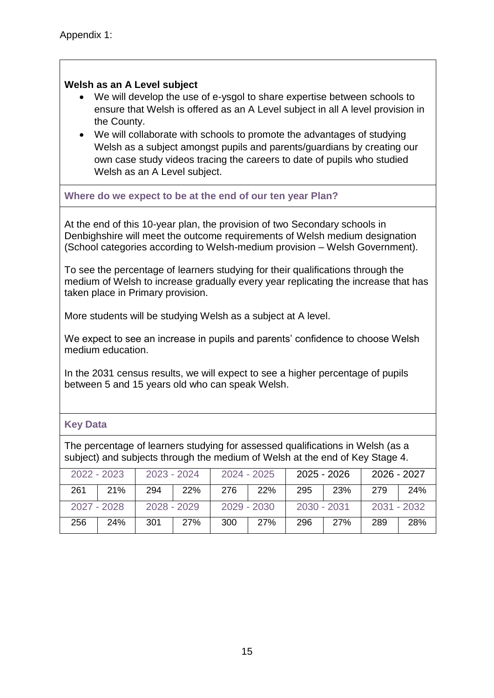## **Welsh as an A Level subject**

- We will develop the use of e-ysgol to share expertise between schools to ensure that Welsh is offered as an A Level subject in all A level provision in the County.
- We will collaborate with schools to promote the advantages of studying Welsh as a subject amongst pupils and parents/guardians by creating our own case study videos tracing the careers to date of pupils who studied Welsh as an A Level subject.

#### **Where do we expect to be at the end of our ten year Plan?**

At the end of this 10-year plan, the provision of two Secondary schools in Denbighshire will meet the outcome requirements of Welsh medium designation (School categories according to Welsh-medium provision – Welsh Government).

To see the percentage of learners studying for their qualifications through the medium of Welsh to increase gradually every year replicating the increase that has taken place in Primary provision.

More students will be studying Welsh as a subject at A level.

We expect to see an increase in pupils and parents' confidence to choose Welsh medium education.

In the 2031 census results, we will expect to see a higher percentage of pupils between 5 and 15 years old who can speak Welsh.

#### **Key Data**

The percentage of learners studying for assessed qualifications in Welsh (as a subject) and subjects through the medium of Welsh at the end of Key Stage 4.

| $2022 - 2023$ |     | $2023 - 2024$                |     | 2024 - 2025 |             | 2025 - 2026 |             | 2026 - 2027 |     |
|---------------|-----|------------------------------|-----|-------------|-------------|-------------|-------------|-------------|-----|
| 261           | 21% | 294                          | 22% | 276         | <b>22%</b>  | 295         | 23%         | 279         | 24% |
| 2027 - 2028   |     | 2028 - 2029<br>$2029 - 2030$ |     |             | 2030 - 2031 |             | 2031 - 2032 |             |     |
| 256           | 24% | 301                          | 27% | 300         | 27%         | 296         | 27%         | 289         | 28% |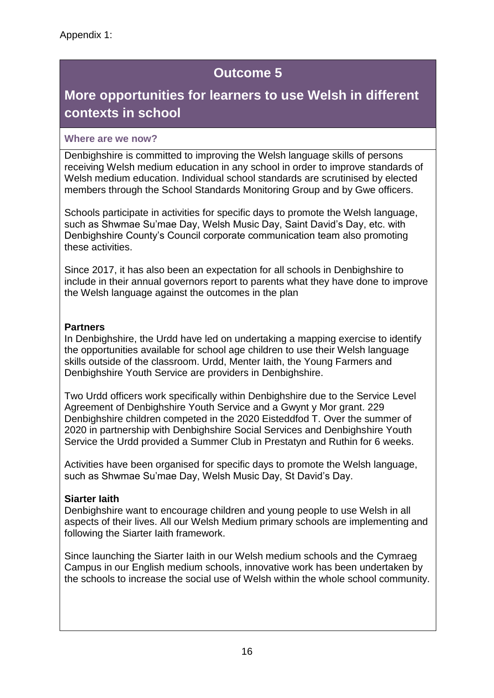# **More opportunities for learners to use Welsh in different contexts in school**

## **Where are we now?**

Denbighshire is committed to improving the Welsh language skills of persons receiving Welsh medium education in any school in order to improve standards of Welsh medium education. Individual school standards are scrutinised by elected members through the School Standards Monitoring Group and by Gwe officers.

Schools participate in activities for specific days to promote the Welsh language, such as Shwmae Su'mae Day, Welsh Music Day, Saint David's Day, etc. with Denbighshire County's Council corporate communication team also promoting these activities.

Since 2017, it has also been an expectation for all schools in Denbighshire to include in their annual governors report to parents what they have done to improve the Welsh language against the outcomes in the plan

## **Partners**

In Denbighshire, the Urdd have led on undertaking a mapping exercise to identify the opportunities available for school age children to use their Welsh language skills outside of the classroom. Urdd, Menter Iaith, the Young Farmers and Denbighshire Youth Service are providers in Denbighshire.

Two Urdd officers work specifically within Denbighshire due to the Service Level Agreement of Denbighshire Youth Service and a Gwynt y Mor grant. 229 Denbighshire children competed in the 2020 Eisteddfod T. Over the summer of 2020 in partnership with Denbighshire Social Services and Denbighshire Youth Service the Urdd provided a Summer Club in Prestatyn and Ruthin for 6 weeks.

Activities have been organised for specific days to promote the Welsh language, such as Shwmae Su'mae Day, Welsh Music Day, St David's Day.

## **Siarter Iaith**

Denbighshire want to encourage children and young people to use Welsh in all aspects of their lives. All our Welsh Medium primary schools are implementing and following the Siarter Iaith framework.

Since launching the Siarter Iaith in our Welsh medium schools and the Cymraeg Campus in our English medium schools, innovative work has been undertaken by the schools to increase the social use of Welsh within the whole school community.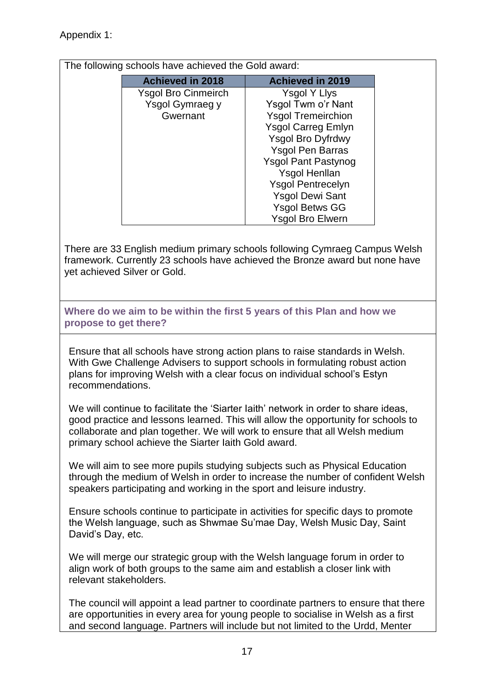## Appendix 1:

The following schools have achieved the Gold award:

| <b>Achieved in 2018</b>    | <b>Achieved in 2019</b>    |  |  |  |
|----------------------------|----------------------------|--|--|--|
| <b>Ysgol Bro Cinmeirch</b> | <b>Ysgol Y Llys</b>        |  |  |  |
| Ysgol Gymraeg y            | Ysgol Twm o'r Nant         |  |  |  |
| Gwernant                   | <b>Ysgol Tremeirchion</b>  |  |  |  |
|                            | <b>Ysgol Carreg Emlyn</b>  |  |  |  |
|                            | <b>Ysgol Bro Dyfrdwy</b>   |  |  |  |
|                            | <b>Ysgol Pen Barras</b>    |  |  |  |
|                            | <b>Ysgol Pant Pastynog</b> |  |  |  |
|                            | <b>Ysgol Henllan</b>       |  |  |  |
|                            | <b>Ysgol Pentrecelyn</b>   |  |  |  |
|                            | <b>Ysgol Dewi Sant</b>     |  |  |  |
|                            | <b>Ysgol Betws GG</b>      |  |  |  |
|                            | <b>Ysgol Bro Elwern</b>    |  |  |  |

There are 33 English medium primary schools following Cymraeg Campus Welsh framework. Currently 23 schools have achieved the Bronze award but none have yet achieved Silver or Gold.

**Where do we aim to be within the first 5 years of this Plan and how we propose to get there?**

Ensure that all schools have strong action plans to raise standards in Welsh. With Gwe Challenge Advisers to support schools in formulating robust action plans for improving Welsh with a clear focus on individual school's Estyn recommendations.

We will continue to facilitate the 'Siarter Iaith' network in order to share ideas, good practice and lessons learned. This will allow the opportunity for schools to collaborate and plan together. We will work to ensure that all Welsh medium primary school achieve the Siarter Iaith Gold award.

We will aim to see more pupils studying subjects such as Physical Education through the medium of Welsh in order to increase the number of confident Welsh speakers participating and working in the sport and leisure industry.

Ensure schools continue to participate in activities for specific days to promote the Welsh language, such as Shwmae Su'mae Day, Welsh Music Day, Saint David's Day, etc.

We will merge our strategic group with the Welsh language forum in order to align work of both groups to the same aim and establish a closer link with relevant stakeholders.

The council will appoint a lead partner to coordinate partners to ensure that there are opportunities in every area for young people to socialise in Welsh as a first and second language. Partners will include but not limited to the Urdd, Menter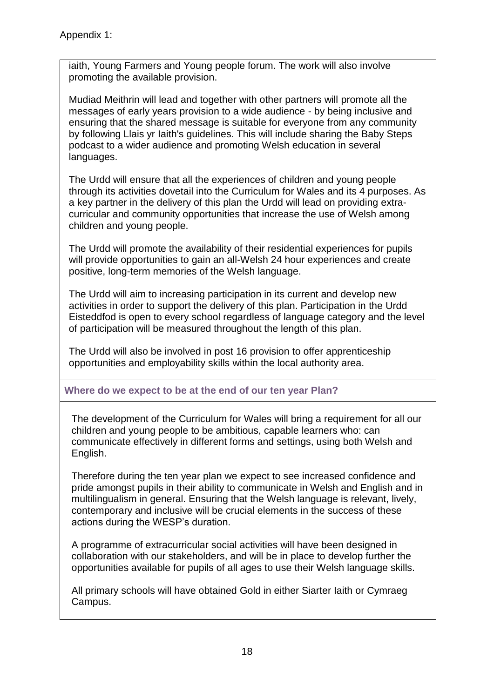iaith, Young Farmers and Young people forum. The work will also involve promoting the available provision.

Mudiad Meithrin will lead and together with other partners will promote all the messages of early years provision to a wide audience - by being inclusive and ensuring that the shared message is suitable for everyone from any community by following Llais yr Iaith's guidelines. This will include sharing the Baby Steps podcast to a wider audience and promoting Welsh education in several languages.

The Urdd will ensure that all the experiences of children and young people through its activities dovetail into the Curriculum for Wales and its 4 purposes. As a key partner in the delivery of this plan the Urdd will lead on providing extracurricular and community opportunities that increase the use of Welsh among children and young people.

The Urdd will promote the availability of their residential experiences for pupils will provide opportunities to gain an all-Welsh 24 hour experiences and create positive, long-term memories of the Welsh language.

The Urdd will aim to increasing participation in its current and develop new activities in order to support the delivery of this plan. Participation in the Urdd Eisteddfod is open to every school regardless of language category and the level of participation will be measured throughout the length of this plan.

The Urdd will also be involved in post 16 provision to offer apprenticeship opportunities and employability skills within the local authority area.

## **Where do we expect to be at the end of our ten year Plan?**

The development of the Curriculum for Wales will bring a requirement for all our children and young people to be ambitious, capable learners who: can communicate effectively in different forms and settings, using both Welsh and English.

Therefore during the ten year plan we expect to see increased confidence and pride amongst pupils in their ability to communicate in Welsh and English and in multilingualism in general. Ensuring that the Welsh language is relevant, lively, contemporary and inclusive will be crucial elements in the success of these actions during the WESP's duration.

A programme of extracurricular social activities will have been designed in collaboration with our stakeholders, and will be in place to develop further the opportunities available for pupils of all ages to use their Welsh language skills.

All primary schools will have obtained Gold in either Siarter Iaith or Cymraeg Campus.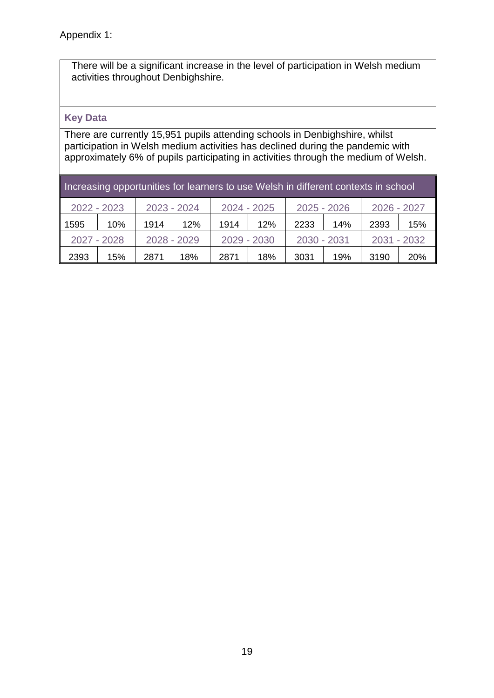There will be a significant increase in the level of participation in Welsh medium activities throughout Denbighshire.

## **Key Data**

There are currently 15,951 pupils attending schools in Denbighshire, whilst participation in Welsh medium activities has declined during the pandemic with approximately 6% of pupils participating in activities through the medium of Welsh.

| Increasing opportunities for learners to use Welsh in different contexts in school |     |             |     |             |     |               |     |             |            |  |  |
|------------------------------------------------------------------------------------|-----|-------------|-----|-------------|-----|---------------|-----|-------------|------------|--|--|
| $2022 - 2023$                                                                      |     | 2023 - 2024 |     | 2024 - 2025 |     | $2025 - 2026$ |     | 2026 - 2027 |            |  |  |
| 1595                                                                               | 10% | 1914        | 12% | 1914        | 12% | 2233          | 14% | 2393        | 15%        |  |  |
| $2027 - 2028$                                                                      |     | 2028 - 2029 |     | 2029 - 2030 |     | 2030 - 2031   |     | 2031 - 2032 |            |  |  |
| 2393                                                                               | 15% | 2871        | 18% | 2871        | 18% | 3031          | 19% | 3190        | <b>20%</b> |  |  |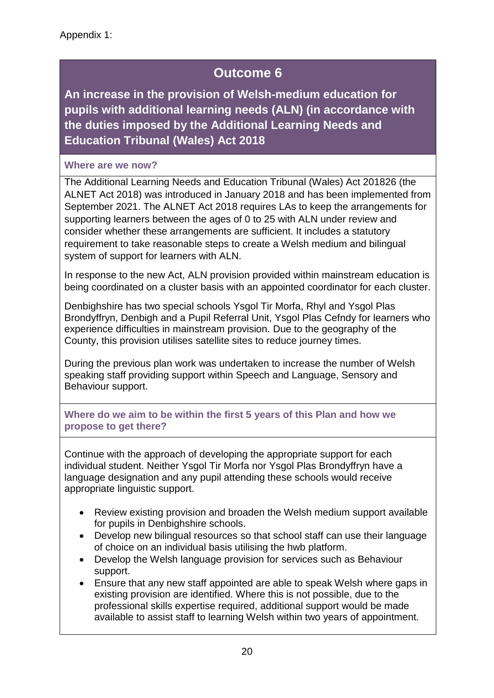**An increase in the provision of Welsh-medium education for pupils with additional learning needs (ALN) (in accordance with the duties imposed by the Additional Learning Needs and Education Tribunal (Wales) Act 2018**

## **Where are we now?**

The Additional Learning Needs and Education Tribunal (Wales) Act 201826 (the ALNET Act 2018) was introduced in January 2018 and has been implemented from September 2021. The ALNET Act 2018 requires LAs to keep the arrangements for supporting learners between the ages of 0 to 25 with ALN under review and consider whether these arrangements are sufficient. It includes a statutory requirement to take reasonable steps to create a Welsh medium and bilingual system of support for learners with ALN.

In response to the new Act, ALN provision provided within mainstream education is being coordinated on a cluster basis with an appointed coordinator for each cluster.

Denbighshire has two special schools Ysgol Tir Morfa, Rhyl and Ysgol Plas Brondyffryn, Denbigh and a Pupil Referral Unit, Ysgol Plas Cefndy for learners who experience difficulties in mainstream provision. Due to the geography of the County, this provision utilises satellite sites to reduce journey times.

During the previous plan work was undertaken to increase the number of Welsh speaking staff providing support within Speech and Language, Sensory and Behaviour support.

**Where do we aim to be within the first 5 years of this Plan and how we propose to get there?**

Continue with the approach of developing the appropriate support for each individual student. Neither Ysgol Tir Morfa nor Ysgol Plas Brondyffryn have a language designation and any pupil attending these schools would receive appropriate linguistic support.

- Review existing provision and broaden the Welsh medium support available for pupils in Denbighshire schools.
- Develop new bilingual resources so that school staff can use their language of choice on an individual basis utilising the hwb platform.
- Develop the Welsh language provision for services such as Behaviour support.
- Ensure that any new staff appointed are able to speak Welsh where gaps in existing provision are identified. Where this is not possible, due to the professional skills expertise required, additional support would be made available to assist staff to learning Welsh within two years of appointment.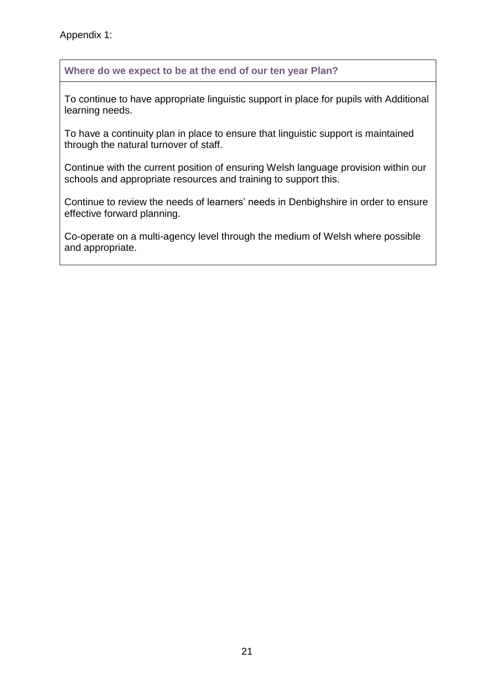Appendix 1:

**Where do we expect to be at the end of our ten year Plan?**

To continue to have appropriate linguistic support in place for pupils with Additional learning needs.

To have a continuity plan in place to ensure that linguistic support is maintained through the natural turnover of staff.

Continue with the current position of ensuring Welsh language provision within our schools and appropriate resources and training to support this.

Continue to review the needs of learners' needs in Denbighshire in order to ensure effective forward planning.

Co-operate on a multi-agency level through the medium of Welsh where possible and appropriate.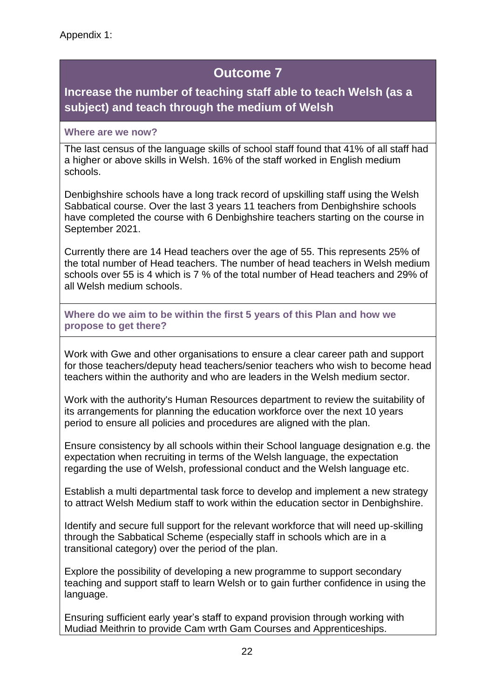## **Increase the number of teaching staff able to teach Welsh (as a subject) and teach through the medium of Welsh**

## **Where are we now?**

The last census of the language skills of school staff found that 41% of all staff had a higher or above skills in Welsh. 16% of the staff worked in English medium schools.

Denbighshire schools have a long track record of upskilling staff using the Welsh Sabbatical course. Over the last 3 years 11 teachers from Denbighshire schools have completed the course with 6 Denbighshire teachers starting on the course in September 2021.

Currently there are 14 Head teachers over the age of 55. This represents 25% of the total number of Head teachers. The number of head teachers in Welsh medium schools over 55 is 4 which is 7 % of the total number of Head teachers and 29% of all Welsh medium schools.

**Where do we aim to be within the first 5 years of this Plan and how we propose to get there?**

Work with Gwe and other organisations to ensure a clear career path and support for those teachers/deputy head teachers/senior teachers who wish to become head teachers within the authority and who are leaders in the Welsh medium sector.

Work with the authority's Human Resources department to review the suitability of its arrangements for planning the education workforce over the next 10 years period to ensure all policies and procedures are aligned with the plan.

Ensure consistency by all schools within their School language designation e.g. the expectation when recruiting in terms of the Welsh language, the expectation regarding the use of Welsh, professional conduct and the Welsh language etc.

Establish a multi departmental task force to develop and implement a new strategy to attract Welsh Medium staff to work within the education sector in Denbighshire.

Identify and secure full support for the relevant workforce that will need up-skilling through the Sabbatical Scheme (especially staff in schools which are in a transitional category) over the period of the plan.

Explore the possibility of developing a new programme to support secondary teaching and support staff to learn Welsh or to gain further confidence in using the language.

Ensuring sufficient early year's staff to expand provision through working with Mudiad Meithrin to provide Cam wrth Gam Courses and Apprenticeships.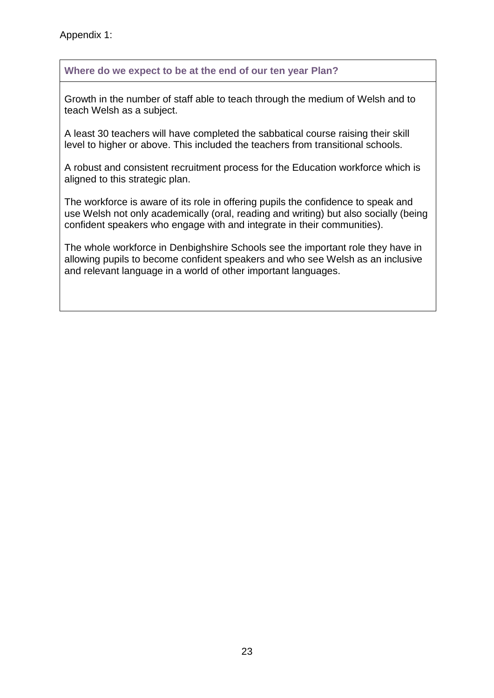## **Where do we expect to be at the end of our ten year Plan?**

Growth in the number of staff able to teach through the medium of Welsh and to teach Welsh as a subject.

A least 30 teachers will have completed the sabbatical course raising their skill level to higher or above. This included the teachers from transitional schools.

A robust and consistent recruitment process for the Education workforce which is aligned to this strategic plan.

The workforce is aware of its role in offering pupils the confidence to speak and use Welsh not only academically (oral, reading and writing) but also socially (being confident speakers who engage with and integrate in their communities).

The whole workforce in Denbighshire Schools see the important role they have in allowing pupils to become confident speakers and who see Welsh as an inclusive and relevant language in a world of other important languages.